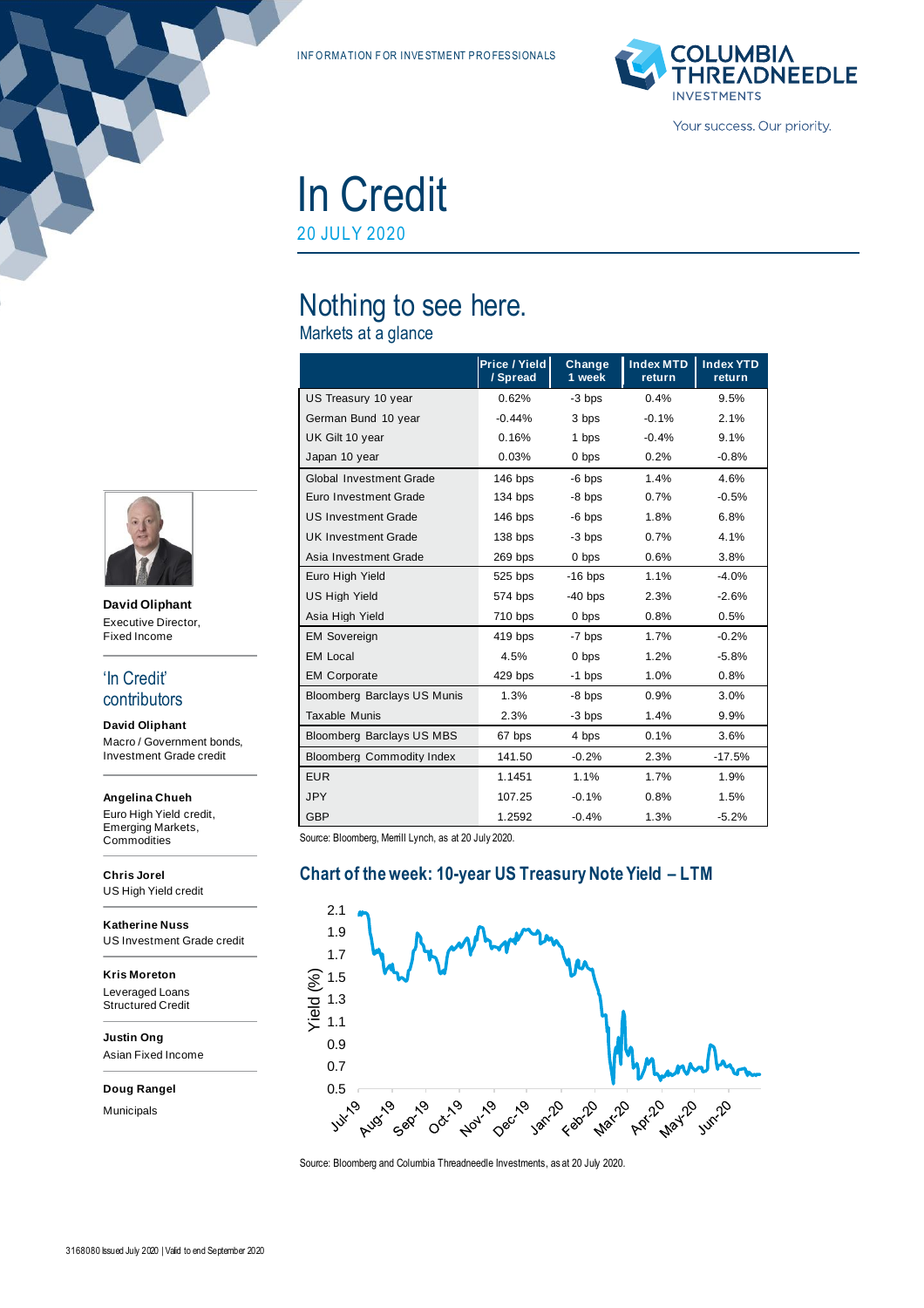INF ORMATION FOR INVESTMENT PROFES SIONALS



In Credit 20 JULY 2020

# Nothing to see here.

Markets at a glance

|                                    | Price / Yield<br>/ Spread | Change<br>1 week | <b>Index MTD</b><br>return | <b>Index YTD</b><br>return |
|------------------------------------|---------------------------|------------------|----------------------------|----------------------------|
| US Treasury 10 year                | 0.62%                     | $-3$ bps         | 0.4%                       | 9.5%                       |
| German Bund 10 year                | $-0.44%$                  | 3 bps            | $-0.1%$                    | 2.1%                       |
| UK Gilt 10 year                    | 0.16%                     | 1 bps            | $-0.4%$                    | 9.1%                       |
| Japan 10 year                      | 0.03%                     | 0 bps            | 0.2%                       | $-0.8%$                    |
| <b>Global Investment Grade</b>     | 146 bps                   | $-6$ bps         | 1.4%                       | 4.6%                       |
| Euro Investment Grade              | 134 bps                   | $-8$ bps         | 0.7%                       | $-0.5%$                    |
| <b>US Investment Grade</b>         | $146$ bps                 | $-6$ bps         | 1.8%                       | 6.8%                       |
| <b>UK Investment Grade</b>         | 138 bps                   | -3 bps           | 0.7%                       | 4.1%                       |
| Asia Investment Grade              | 269 bps                   | 0 bps            | 0.6%                       | 3.8%                       |
| Euro High Yield                    | 525 bps                   | $-16$ bps        | 1.1%                       | $-4.0%$                    |
| <b>US High Yield</b>               | 574 bps                   | $-40$ bps        | 2.3%                       | $-2.6%$                    |
| Asia High Yield                    | 710 bps                   | 0 bps            | 0.8%                       | 0.5%                       |
| <b>EM Sovereign</b>                | 419 bps                   | -7 bps           | 1.7%                       | $-0.2%$                    |
| <b>EM Local</b>                    | 4.5%                      | 0 bps            | 1.2%                       | $-5.8%$                    |
| <b>EM Corporate</b>                | 429 bps                   | $-1$ bps         | 1.0%                       | 0.8%                       |
| <b>Bloomberg Barclays US Munis</b> | 1.3%                      | -8 bps           | 0.9%                       | 3.0%                       |
| <b>Taxable Munis</b>               | 2.3%                      | -3 bps           | 1.4%                       | 9.9%                       |
| Bloomberg Barclays US MBS          | 67 bps                    | 4 bps            | 0.1%                       | 3.6%                       |
| <b>Bloomberg Commodity Index</b>   | 141.50                    | $-0.2%$          | 2.3%                       | $-17.5%$                   |
| <b>EUR</b>                         | 1.1451                    | 1.1%             | 1.7%                       | 1.9%                       |
| <b>JPY</b>                         | 107.25                    | $-0.1%$          | 0.8%                       | 1.5%                       |
| <b>GBP</b>                         | 1.2592                    | $-0.4%$          | 1.3%                       | $-5.2%$                    |

Source: Bloomberg, Merrill Lynch, as at 20 July 2020.

## **Chart of the week: 10-year US Treasury Note Yield – LTM**



Source: Bloomberg and Columbia Threadneedle Investments, as at 20 July 2020.



**David Oliphant** Executive Director, Fixed Income

#### 'In Credit' contributors

**David Oliphant** Macro / Government bonds, Investment Grade credit

#### **Angelina Chueh**

Euro High Yield credit, Emerging Markets, **Commodities** 

**Chris Jorel** US High Yield credit

**Katherine Nuss** US Investment Grade credit

**Kris Moreton** Leveraged Loans Structured Credit

**Justin Ong** Asian Fixed Income

**Doug Rangel**

Municipals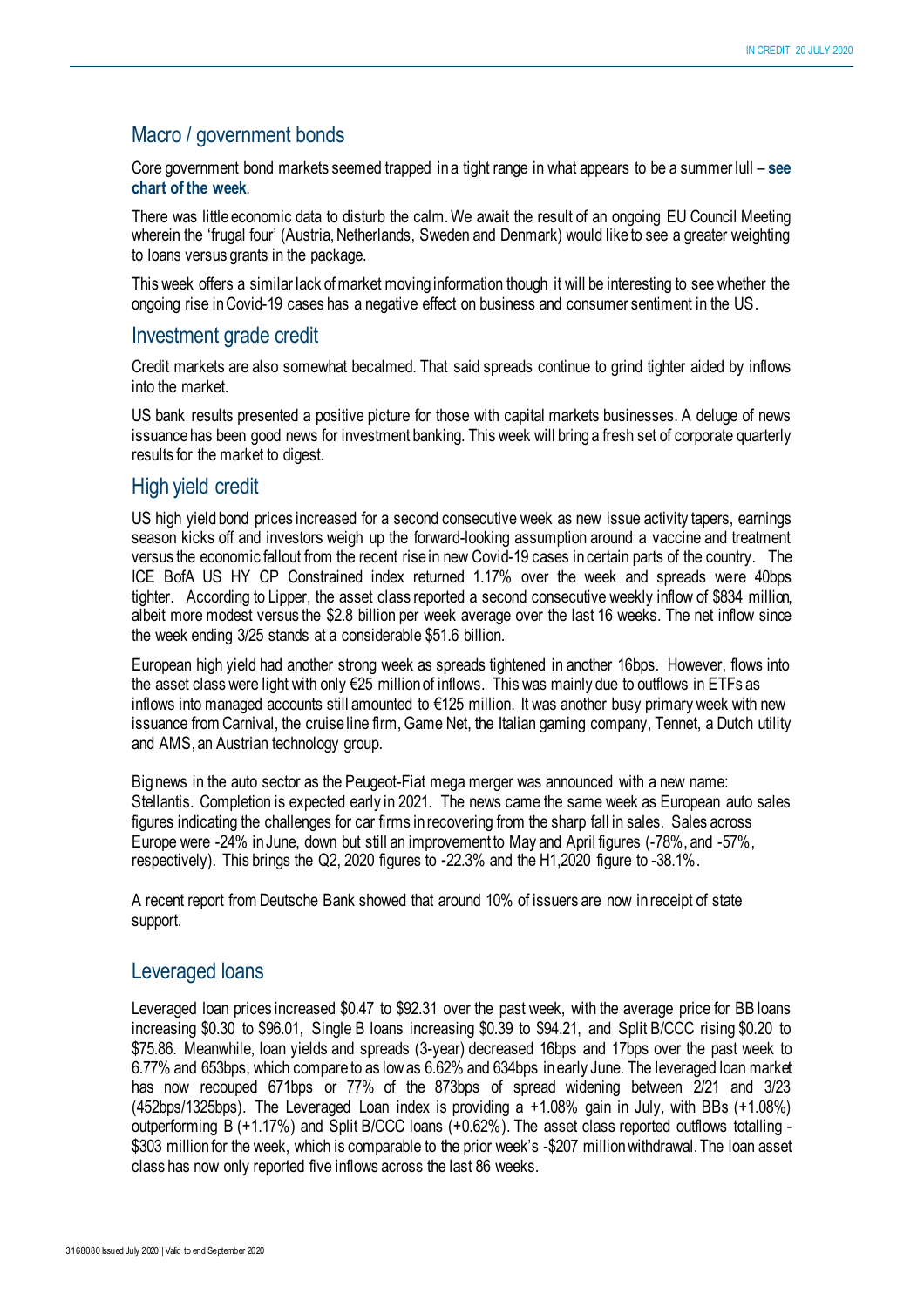# Macro / government bonds

Core government bond markets seemed trapped in a tight range in what appears to be a summer lull – **see chart of the week**.

There was little economic data to disturb the calm. We await the result of an ongoing EU Council Meeting wherein the 'frugal four' (Austria, Netherlands, Sweden and Denmark) would like to see a greater weighting to loans versus grants in the package.

This week offers a similar lack of market moving information though it will be interesting to see whether the ongoing rise in Covid-19 cases has a negative effect on business and consumer sentiment in the US.

## Investment grade credit

Credit markets are also somewhat becalmed. That said spreads continue to grind tighter aided by inflows into the market.

US bank results presented a positive picture for those with capital markets businesses. A deluge of news issuance has been good news for investment banking. This week will bring a fresh set of corporate quarterly results for the market to digest.

#### High yield credit

US high yield bond prices increased for a second consecutive week as new issue activity tapers, earnings season kicks off and investors weigh up the forward-looking assumption around a vaccine and treatment versus the economic fallout from the recent rise in new Covid-19 cases in certain parts of the country. The ICE BofA US HY CP Constrained index returned 1.17% over the week and spreads were 40bps tighter. According to Lipper, the asset class reported a second consecutive weekly inflow of \$834 million, albeit more modest versus the \$2.8 billion per week average over the last 16 weeks. The net inflow since the week ending 3/25 stands at a considerable \$51.6 billion.

European high yield had another strong week as spreads tightened in another 16bps. However, flows into the asset class were light with only €25 million of inflows. This was mainly due to outflows in ETFs as inflows into managed accounts still amounted to €125 million. It was another busy primary week with new issuance from Carnival, the cruise line firm, Game Net, the Italian gaming company, Tennet, a Dutch utility and AMS, an Austrian technology group.

Big news in the auto sector as the Peugeot-Fiat mega merger was announced with a new name: Stellantis. Completion is expected early in 2021. The news came the same week as European auto sales figures indicating the challenges for car firms in recovering from the sharp fall in sales. Sales across Europe were -24% in June, down but still an improvement to May and April figures (-78%, and -57%, respectively). This brings the Q2, 2020 figures to **-**22.3% and the H1,2020 figure to -38.1%.

A recent report from Deutsche Bank showed that around 10% of issuers are now in receipt of state support.

#### Leveraged loans

Leveraged loan prices increased \$0.47 to \$92.31 over the past week, with the average price for BB loans increasing \$0.30 to \$96.01, Single B loans increasing \$0.39 to \$94.21, and Split B/CCC rising \$0.20 to \$75.86. Meanwhile, loan yields and spreads (3-year) decreased 16bps and 17bps over the past week to 6.77% and 653bps, which compare to as low as 6.62% and 634bps in early June. The leveraged loan market has now recouped 671bps or 77% of the 873bps of spread widening between 2/21 and 3/23 (452bps/1325bps). The Leveraged Loan index is providing a +1.08% gain in July, with BBs (+1.08%) outperforming B (+1.17%) and Split B/CCC loans (+0.62%). The asset class reported outflows totalling - \$303 million for the week, which is comparable to the prior week's -\$207 million withdrawal. The loan asset class has now only reported five inflows across the last 86 weeks.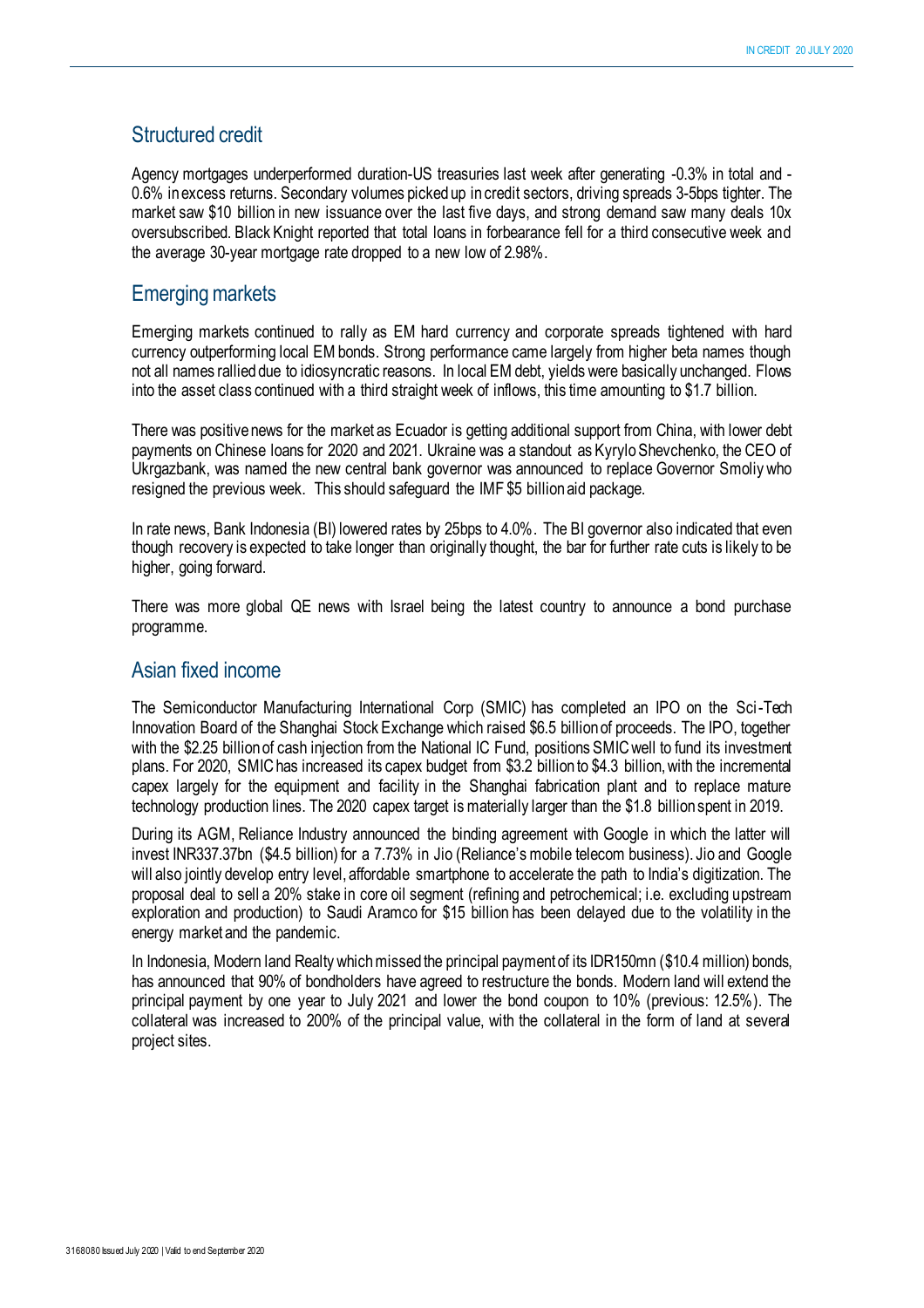# Structured credit

Agency mortgages underperformed duration-US treasuries last week after generating -0.3% in total and - 0.6% in excess returns. Secondary volumes picked up in credit sectors, driving spreads 3-5bps tighter. The market saw \$10 billion in new issuance over the last five days, and strong demand saw many deals 10x oversubscribed. Black Knight reported that total loans in forbearance fell for a third consecutive week and the average 30-year mortgage rate dropped to a new low of 2.98%.

## Emerging markets

Emerging markets continued to rally as EM hard currency and corporate spreads tightened with hard currency outperforming local EM bonds. Strong performance came largely from higher beta names though not all names rallied due to idiosyncratic reasons. In local EM debt, yields were basically unchanged. Flows into the asset class continued with a third straight week of inflows, this time amounting to \$1.7 billion.

There was positive news for the market as Ecuador is getting additional support from China, with lower debt payments on Chinese loans for 2020 and 2021. Ukraine was a standout as Kyrylo Shevchenko, the CEO of Ukrgazbank, was named the new central bank governor was announced to replace Governor Smoliy who resigned the previous week. This should safeguard the IMF \$5 billion aid package.

In rate news, Bank Indonesia (BI) lowered rates by 25bps to 4.0%. The BI governor also indicated that even though recovery is expected to take longer than originally thought, the bar for further rate cuts is likely to be higher, going forward.

There was more global QE news with Israel being the latest country to announce a bond purchase programme.

# Asian fixed income

The Semiconductor Manufacturing International Corp (SMIC) has completed an IPO on the Sci-Tech Innovation Board of the Shanghai Stock Exchange which raised \$6.5 billion of proceeds. The IPO, together with the \$2.25 billion of cash injection from the National IC Fund, positions SMIC well to fund its investment plans. For 2020, SMIC has increased its capex budget from \$3.2 billion to \$4.3 billion, with the incremental capex largely for the equipment and facility in the Shanghai fabrication plant and to replace mature technology production lines. The 2020 capex target is materially larger than the \$1.8 billion spent in 2019.

During its AGM, Reliance Industry announced the binding agreement with Google in which the latter will invest INR337.37bn (\$4.5 billion) for a 7.73% in Jio (Reliance's mobile telecom business). Jio and Google will also jointly develop entry level, affordable smartphone to accelerate the path to India's digitization. The proposal deal to sell a 20% stake in core oil segment (refining and petrochemical; i.e. excluding upstream exploration and production) to Saudi Aramco for \$15 billion has been delayed due to the volatility in the energy market and the pandemic.

In Indonesia, Modern land Realty which missed the principal payment of its IDR150mn (\$10.4 million) bonds, has announced that 90% of bondholders have agreed to restructure the bonds. Modern land will extend the principal payment by one year to July 2021 and lower the bond coupon to 10% (previous: 12.5%). The collateral was increased to 200% of the principal value, with the collateral in the form of land at several project sites.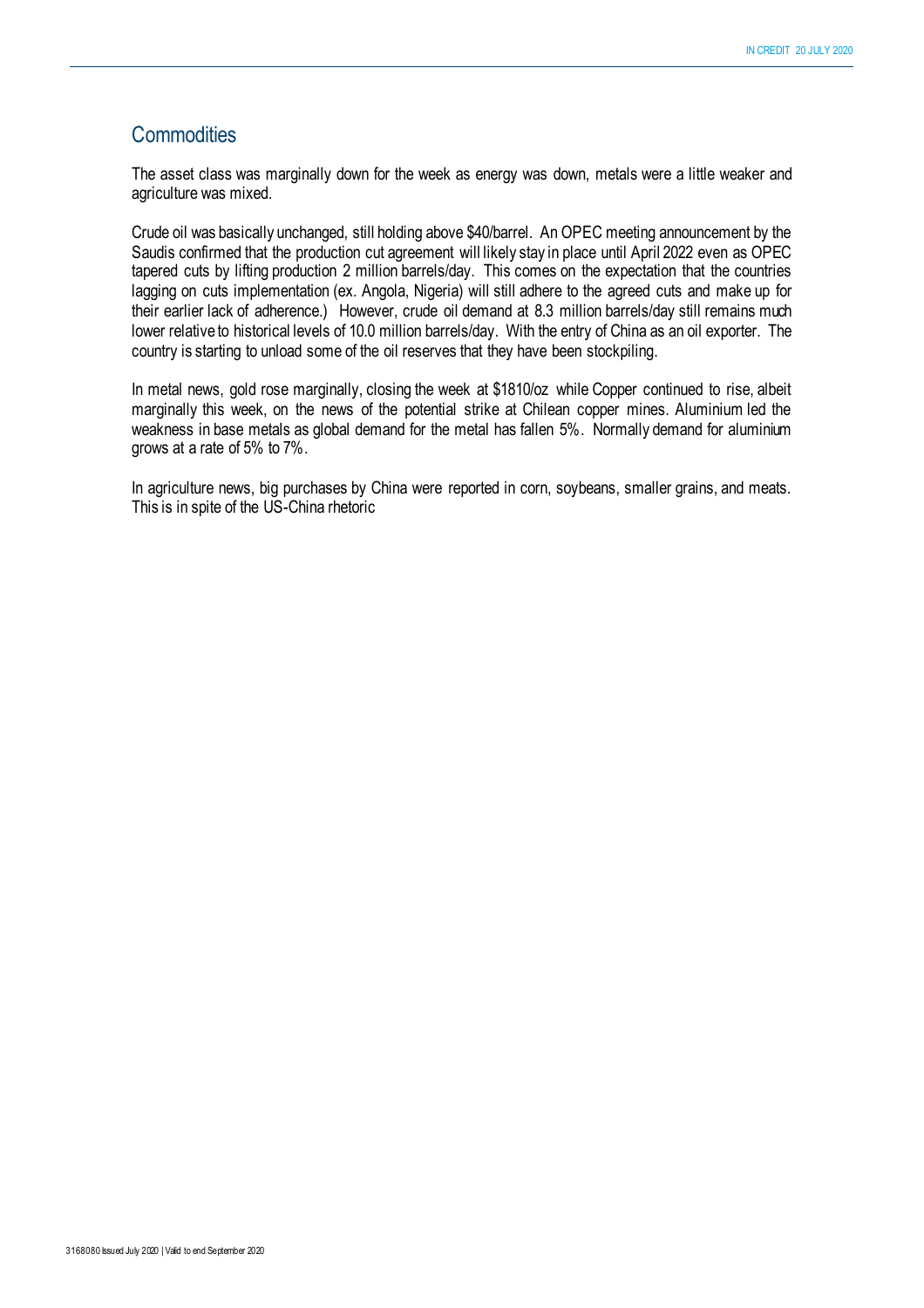# **Commodities**

The asset class was marginally down for the week as energy was down, metals were a little weaker and agriculture was mixed.

Crude oil was basically unchanged, still holding above \$40/barrel. An OPEC meeting announcement by the Saudis confirmed that the production cut agreement will likely stay in place until April 2022 even as OPEC tapered cuts by lifting production 2 million barrels/day. This comes on the expectation that the countries lagging on cuts implementation (ex. Angola, Nigeria) will still adhere to the agreed cuts and make up for their earlier lack of adherence.) However, crude oil demand at 8.3 million barrels/day still remains much lower relative to historical levels of 10.0 million barrels/day. With the entry of China as an oil exporter. The country is starting to unload some of the oil reserves that they have been stockpiling.

In metal news, gold rose marginally, closing the week at \$1810/oz while Copper continued to rise, albeit marginally this week, on the news of the potential strike at Chilean copper mines. Aluminium led the weakness in base metals as global demand for the metal has fallen 5%. Normally demand for aluminium grows at a rate of 5% to 7%.

In agriculture news, big purchases by China were reported in corn, soybeans, smaller grains, and meats. This is in spite of the US-China rhetoric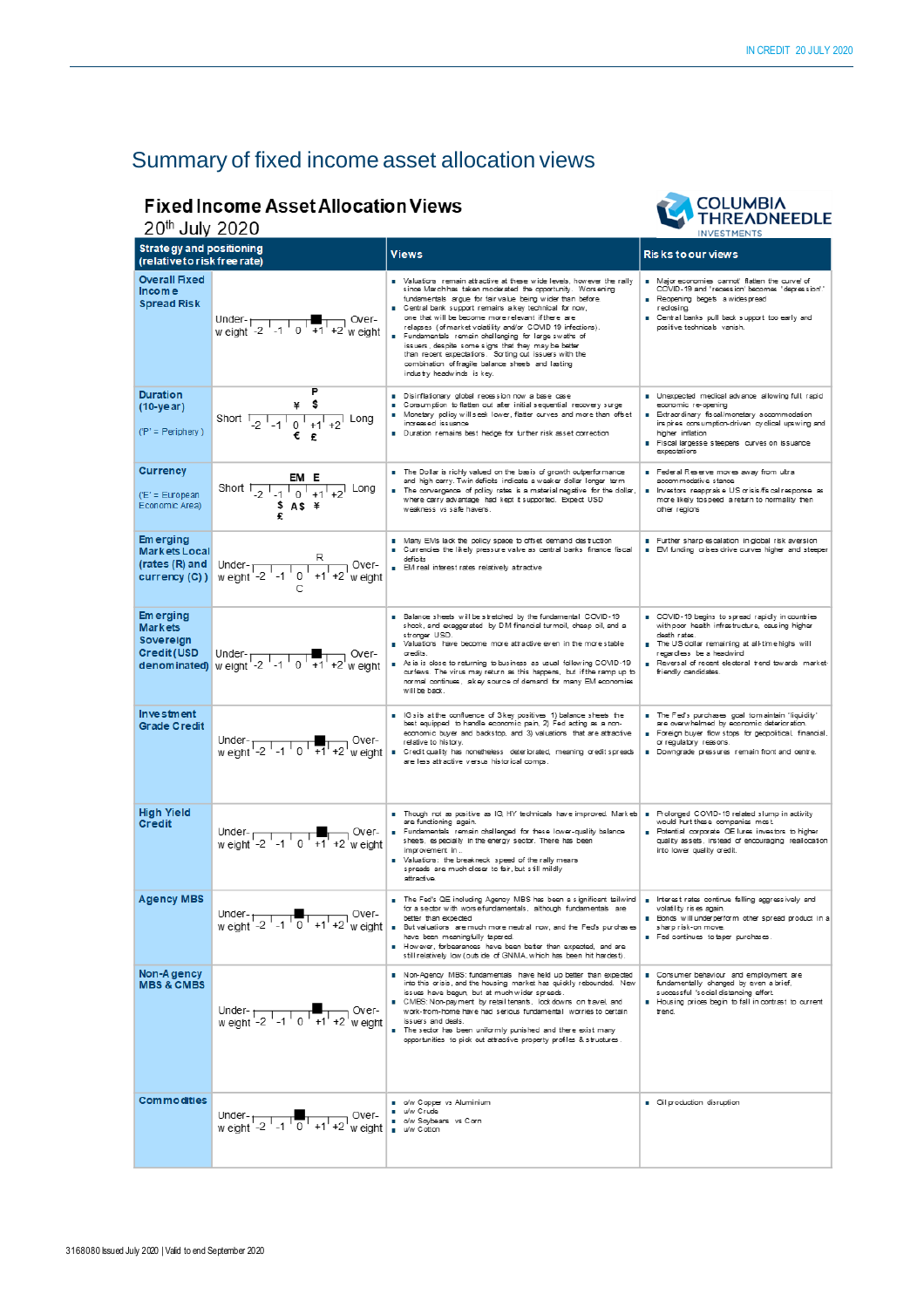# Summary of fixed income asset allocation views

# **Fixed Income Asset Allocation Views**



| <b>I HKEADNEEDLE</b><br>20th July 2020<br><b>INVESTMENTS</b>                            |                                                                                                                                                                                                                                                                                                 |                                                                                                                                                                                                                                                                                                                                                                                                                                                                                                                                                                                                                                          |                                                                                                                                                                                                                                                                               |  |
|-----------------------------------------------------------------------------------------|-------------------------------------------------------------------------------------------------------------------------------------------------------------------------------------------------------------------------------------------------------------------------------------------------|------------------------------------------------------------------------------------------------------------------------------------------------------------------------------------------------------------------------------------------------------------------------------------------------------------------------------------------------------------------------------------------------------------------------------------------------------------------------------------------------------------------------------------------------------------------------------------------------------------------------------------------|-------------------------------------------------------------------------------------------------------------------------------------------------------------------------------------------------------------------------------------------------------------------------------|--|
| <b>Strategy and positioning</b><br>(relative to risk free rate)                         |                                                                                                                                                                                                                                                                                                 | <b>Views</b>                                                                                                                                                                                                                                                                                                                                                                                                                                                                                                                                                                                                                             | <b>Risks to our views</b>                                                                                                                                                                                                                                                     |  |
| <b>Overall Fixed</b><br>Income<br><b>Spread Risk</b>                                    | Under- $\frac{1}{10}$ +1 +2 w eight -2 -1 0 +1 +2 w eight                                                                                                                                                                                                                                       | Naluations remain attractive at these wide levels, however the rally<br>since Marchhas taken moderated the opportunity. Worsening<br>fundamentals argue for fair value being wider than before.<br>Central bank support remains a key technical for now,<br>one that will be become more relevant if there are<br>relapses (of market volatility and/or COVID 19 infections).<br>Fundamentals remain challenging for large swaths of<br>issuers, despite some signs that they may be better<br>than recent expectations. Sorting out issuers with the<br>combination of fragile balance sheets and lasting<br>industry headwinds is key. | Major economies cannot' flatten the curve' of<br>COVID-19 and 'recession' becomes 'depression'.'<br>Reopening begets a widespread<br>reclosina.<br><b>E</b> Central banks pull back support too early and<br>positive technicals vanish.                                      |  |
| <b>Duration</b><br>$(10 - year)$<br>$('P' = Peribherv)$                                 | P<br>\$<br>¥<br>Short $\frac{1}{2}$ -1 $\frac{1}{0}$ +1 +2 Long                                                                                                                                                                                                                                 | Disinflationary global recession now a base case<br>Consumption to flatten out after initial sequential recovery surge<br>Monetary policy will seek lower, flatter curves and more than offset<br>increased issuance<br>Duration remains best hedge for further risk asset correction                                                                                                                                                                                                                                                                                                                                                    | Unexpected medical advance allowing full, rapid<br>economic re-opening<br><b>B</b> Extraordinary fiscal/monetary accommodation<br>ins pires consumption-driven cyclical upswing and<br>higher inflation<br>Fiscal largesse steepers curves on issuance<br>expectations        |  |
| <b>Currency</b><br>('E' = European<br>Economic Area)                                    | Short $\frac{EM E}{1 - 2 - 1 - 1 - 0 + 1 + 2}$ Long<br>$$AS$ $*$                                                                                                                                                                                                                                | The Dollar is richly valued on the basis of growth outperformance<br>and high carry. Twin deficits indicate a weaker dollar longer term<br>The convergence of policy rates is a material negative for the dollar,<br>where carry advantage had kept it supported. Expect USD<br>weakness vs safe havens.                                                                                                                                                                                                                                                                                                                                 | Federal Reserve moves away from ultra<br>accommodative stance<br>Investors reappraise US orisis/fiscal response as<br>more likely to speed a return to normality then<br>other regions                                                                                        |  |
| <b>Emerging</b><br><b>Markets Local</b><br>(rates $(R)$ and $\vert$<br>$curve(x)$ (C) ) | Under- $\frac{R}{w \text{ eight } -2 \cdot 1 \cdot 1 \cdot 0 \cdot 1 \cdot 1 \cdot 1 \cdot 2}$ over-                                                                                                                                                                                            | Many EMs lack the policy space to offset demand destruction<br>Currencies the likely pressure valve as central banks finance fiscal<br>deficits<br><b>B</b> EM real interest rates relatively attractive                                                                                                                                                                                                                                                                                                                                                                                                                                 | Further sharp escalation in global risk aversion<br><b>B</b> EM funding crises drive curves higher and steeper                                                                                                                                                                |  |
| <b>Emerging</b><br><b>Markets</b><br>Sovereign<br><b>Credit (USD</b>                    | <b>Credit (USD</b> Under-<br>denominated) w eight -2 -1 0 +1 +2 w eight                                                                                                                                                                                                                         | Balance sheets will be stretched by the fundamental COVID-19<br>shock, and exaggerated by DM financial turmoil, cheap oil, and a<br>stronger USD<br>Valuations have become more attractive even in the more stable<br>credits<br>As is is close to returning to business as usual following COVID-19<br>curfews. The virus may return as this happens, but if the ramp up to<br>normal continues, akey source of demand for many EM economies<br>will be back.                                                                                                                                                                           | COVID-19 begins to spread rapidly in countries<br>with poor health infrastructure, causing higher<br>death rates.<br>The US dollar remaining at all-time highs will<br>regardless be a headwind<br>Reversal of recent electoral trend towards market-<br>friendly candidates. |  |
| <b>Investment</b><br><b>Grade Credit</b>                                                | Under-<br>weight $-2$ $-1$ $0$ $+1$ $+2$ weight                                                                                                                                                                                                                                                 | B IG sits at the confluence of 3 key positives 1) balance sheets the<br>best equipped to handle economic pain, 2) Fed acting as a non-<br>economic buyer and backstop, and 3) valuations that are attractive<br>relative to history.<br>Credit quality has nonetheless deteriorated, meaning credit spreads<br>are less attractive versus historical comps.                                                                                                                                                                                                                                                                              | The Fed's purchases goal to maintain 'liquidity'<br>are overwhelmed by economic deterioration.<br>Foreign buyer flow stops for geopolitical, financial,<br>or regulatory reasons.<br>Downgrade pressures remain front and centre.                                             |  |
| <b>High Yield</b><br><b>Credit</b>                                                      | Under- $\begin{array}{ c c c c }\n\hline\n\text{w} & \text{eight} \\ \hline\n\text{w} & \text{eight} \\ \hline\n\end{array}$ -1 $\begin{array}{ c c c }\n\hline\n\text{d} & \text{f} \\ \hline\n\end{array}$ +1 +2 $\begin{array}{ c c c }\n\hline\n\text{d} & \text{f} \\ \hline\n\end{array}$ | Though not as positive as IG, HY technicals have improved. Markets   .<br>are functioning again.<br>Fundamentals remain challenged for these lower-quality balance<br>sheets, especially in the energy sector. There has been<br>improvement in<br>Valuations: the breakneck speed of the rally means<br>spreads are much closer to fair, but still mildly<br>attractive.                                                                                                                                                                                                                                                                | Prolonged COVID-19 related slump in activity<br>would hurt these companies most<br>Potential corporate QE lures investors to higher<br>quality assets, instead of encouraging reallocation<br>into lower quality credit.                                                      |  |
| <b>Agency MBS</b>                                                                       |                                                                                                                                                                                                                                                                                                 | The Fed's QE including Agency MBS has been a significant tailwind<br>for a sector with worsefundamentals, although fundamentals are<br>Under-<br>Weight -2 -1 0 +1 +2 w eight = better than expected<br>weight -2 -1 0 +1 +2 w eight = better than expected<br>= But valuations are much more neutral now, and the Feds purchases<br>have been meaningfully tapered.<br>However, forbearances have been better than expected, and are<br>still relatively low (outside of GNMA, which has been hit hardest).                                                                                                                             | <b>n</b> Interest rates continue falling aggressively and<br>volatility rises again.<br><b>Bonds</b> will underperform other spread product in a<br>sharp risk-on move.<br>Fed continues to taper purchases.                                                                  |  |
| Non-Agency<br><b>MBS &amp; CMBS</b>                                                     | $T = T + 2$ over-<br>Under-<br>weight -2 -1 0                                                                                                                                                                                                                                                   | Non-Agency MBS: fundamentals have held up better than expected<br>into this crisis, and the housing market has quickly rebounded. New<br>issues have begun, but at much wider spreads.<br>CMBS: Non-payment by retail tenants, lock downs on travel, and<br>work-from-home have had serious fundamental worries to certain<br>issuers and deals.<br>The sector has been uniformly punished and there exist many<br>opportunities to pick out attractive property profiles & structures.                                                                                                                                                  | Consumer behaviour and employment are<br>fundamentally changed by even a brief,<br>successful 'social distancing effort.<br>Housing prices begin to fall in contrast to current<br>trend.                                                                                     |  |
| <b>Commodities</b>                                                                      | Under-<br>weight -2 -1 0 +1 +2 weight $\frac{1}{\omega}$ weight $\frac{1}{\omega}$ weight                                                                                                                                                                                                       | o/w Copper vs Aluminium<br>■ u/w Crude<br>ow Soybeans vs Corn                                                                                                                                                                                                                                                                                                                                                                                                                                                                                                                                                                            | Oil production disruption                                                                                                                                                                                                                                                     |  |